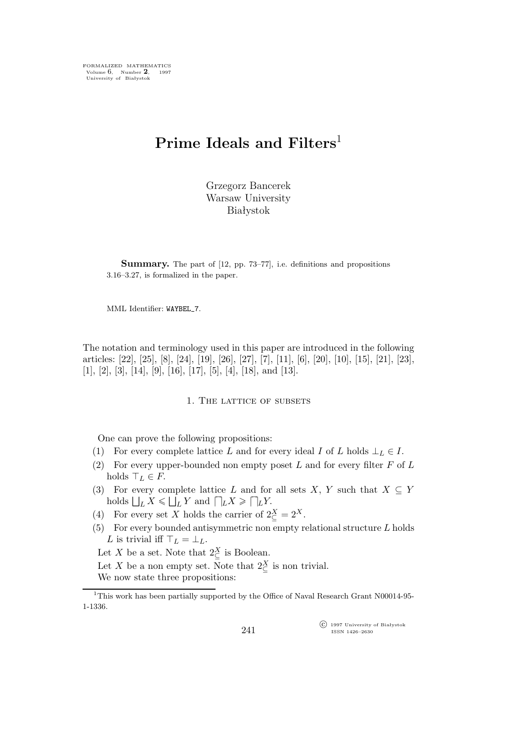FORMALIZED MATHEMATICS Volume 6, Number **2**, 1997 University of Białystok

# **Prime Ideals and Filters**<sup>1</sup>

Grzegorz Bancerek Warsaw University Białystok

**Summary.** The part of [12, pp. 73–77], i.e. definitions and propositions 3.16–3.27, is formalized in the paper.

MML Identifier: WAYBEL 7.

The notation and terminology used in this paper are introduced in the following articles: [22], [25], [8], [24], [19], [26], [27], [7], [11], [6], [20], [10], [15], [21], [23],  $[1], [2], [3], [14], [9], [16], [17], [5], [4], [18],$  and  $[13].$ 

## 1. The lattice of subsets

One can prove the following propositions:

- (1) For every complete lattice L and for every ideal I of L holds  $\bot_L \in I$ .
- (2) For every upper-bounded non empty poset  $L$  and for every filter  $F$  of  $L$ holds  $\top_L \in F$ .
- (3) For every complete lattice L and for all sets X, Y such that  $X \subseteq Y$  $\text{holds } \bigsqcup_L X \leq \bigsqcup_L Y \text{ and } \bigsqcup_L X \geq \bigsqcup_L Y.$
- (4) For every set X holds the carrier of  $2\frac{X}{C} = 2^X$ .
- (5) For every bounded antisymmetric non empty relational structure  $L$  holds L is trivial iff  $\top_L = \bot_L$ .

Let X be a set. Note that  $2^X_{\subseteq}$  is Boolean.

Let X be a non empty set. Note that  $2\frac{X}{C}$  is non trivial.

We now state three propositions:

 $\widehat{C}$  1997 University of Białystok ISSN 1426–2630

<sup>&</sup>lt;sup>1</sup>This work has been partially supported by the Office of Naval Research Grant N00014-95-1-1336.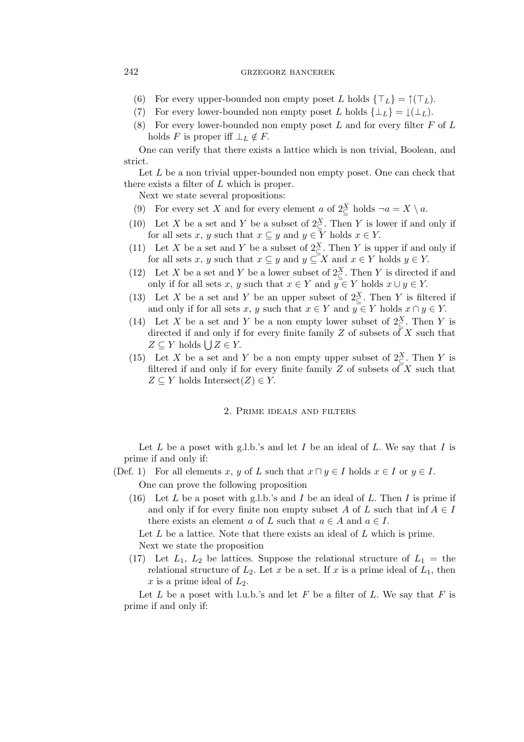### 242 grzegorz bancerek

- (6) For every upper-bounded non empty poset L holds  $\{\top_L\} = \uparrow(\top_L)$ .
- (7) For every lower-bounded non empty poset L holds  $\{\perp_L\} = \downarrow(\perp_L)$ .
- (8) For every lower-bounded non empty poset  $L$  and for every filter  $F$  of  $L$ holds F is proper iff  $\perp_L \notin F$ .

One can verify that there exists a lattice which is non trivial, Boolean, and strict.

Let  $L$  be a non trivial upper-bounded non empty poset. One can check that there exists a filter of  $L$  which is proper.

Next we state several propositions:

- (9) For every set X and for every element a of  $2\frac{X}{C}$  holds  $\neg a = X \setminus a$ .
- (10) Let X be a set and Y be a subset of  $2^X_{\subseteq}$ . Then Y is lower if and only if for all sets x, y such that  $x \subseteq y$  and  $y \in \overline{Y}$  holds  $x \in Y$ .
- (11) Let X be a set and Y be a subset of  $2\frac{X}{C}$ . Then Y is upper if and only if for all sets x, y such that  $x \subseteq y$  and  $y \subseteq X$  and  $x \in Y$  holds  $y \in Y$ .
- (12) Let X be a set and Y be a lower subset of  $2\frac{X}{C}$ . Then Y is directed if and only if for all sets x, y such that  $x \in Y$  and  $y \in Y$  holds  $x \cup y \in Y$ .
- (13) Let X be a set and Y be an upper subset of  $2\frac{X}{C}$ . Then Y is filtered if and only if for all sets x, y such that  $x \in Y$  and  $y \in Y$  holds  $x \cap y \in Y$ .
- (14) Let X be a set and Y be a non empty lower subset of  $2\frac{X}{C}$ . Then Y is directed if and only if for every finite family Z of subsets of X such that  $Z \subseteq Y$  holds  $\bigcup Z \in Y$ .
- (15) Let X be a set and Y be a non empty upper subset of  $2\frac{X}{C}$ . Then Y is filtered if and only if for every finite family  $Z$  of subsets of  $X$  such that  $Z \subseteq Y$  holds Intersect $(Z) \in Y$ .

#### 2. Prime ideals and filters

Let  $L$  be a poset with g.l.b.'s and let  $I$  be an ideal of  $L$ . We say that  $I$  is prime if and only if:

- (Def. 1) For all elements x, y of L such that  $x \sqcap y \in I$  holds  $x \in I$  or  $y \in I$ . One can prove the following proposition
	- (16) Let L be a poset with g.l.b.'s and I be an ideal of L. Then I is prime if and only if for every finite non empty subset A of L such that inf  $A \in I$ there exists an element a of L such that  $a \in A$  and  $a \in I$ .

Let  $L$  be a lattice. Note that there exists an ideal of  $L$  which is prime. Next we state the proposition

(17) Let  $L_1$ ,  $L_2$  be lattices. Suppose the relational structure of  $L_1 =$  the relational structure of  $L_2$ . Let x be a set. If x is a prime ideal of  $L_1$ , then x is a prime ideal of  $L_2$ .

Let L be a poset with l.u.b.'s and let F be a filter of L. We say that F is prime if and only if: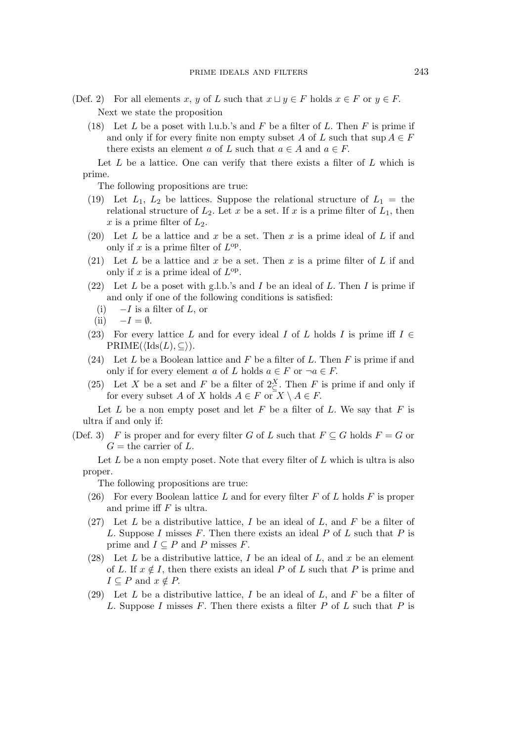- (Def. 2) For all elements x, y of L such that  $x \sqcup y \in F$  holds  $x \in F$  or  $y \in F$ . Next we state the proposition
	- (18) Let L be a poset with l.u.b.'s and F be a filter of L. Then F is prime if and only if for every finite non empty subset A of L such that  $\sup A \in F$ there exists an element a of L such that  $a \in A$  and  $a \in F$ .

Let  $L$  be a lattice. One can verify that there exists a filter of  $L$  which is prime.

The following propositions are true:

- (19) Let  $L_1$ ,  $L_2$  be lattices. Suppose the relational structure of  $L_1 =$  the relational structure of  $L_2$ . Let x be a set. If x is a prime filter of  $L_1$ , then x is a prime filter of  $L_2$ .
- (20) Let L be a lattice and x be a set. Then x is a prime ideal of L if and only if x is a prime filter of  $L^{\text{op}}$ .
- (21) Let L be a lattice and x be a set. Then x is a prime filter of L if and only if x is a prime ideal of  $L^{op}$ .
- (22) Let L be a poset with g.l.b.'s and I be an ideal of L. Then I is prime if and only if one of the following conditions is satisfied:
	- (i) *−*I is a filter of L, or
	- $(ii) -I = \emptyset.$
- (23) For every lattice L and for every ideal I of L holds I is prime iff  $I \in$  $\mathrm{PRIME}(\langle \mathrm{Ids}(L), \subseteq \rangle).$
- (24) Let  $L$  be a Boolean lattice and  $F$  be a filter of  $L$ . Then  $F$  is prime if and only if for every element a of L holds  $a \in F$  or  $\neg a \in F$ .
- (25) Let X be a set and F be a filter of  $2\frac{X}{C}$ . Then F is prime if and only if for every subset A of X holds  $A \in F$  or  $X \setminus A \in F$ .

Let  $L$  be a non empty poset and let  $F$  be a filter of  $L$ . We say that  $F$  is ultra if and only if:

(Def. 3) F is proper and for every filter G of L such that  $F \subseteq G$  holds  $F = G$  or  $G =$  the carrier of L.

Let  $L$  be a non empty poset. Note that every filter of  $L$  which is ultra is also proper.

The following propositions are true:

- (26) For every Boolean lattice L and for every filter F of L holds F is proper and prime iff  $F$  is ultra.
- (27) Let L be a distributive lattice, I be an ideal of L, and F be a filter of L. Suppose I misses F. Then there exists an ideal  $P$  of  $L$  such that  $P$  is prime and  $I \subseteq P$  and P misses F.
- (28) Let  $L$  be a distributive lattice,  $I$  be an ideal of  $L$ , and  $x$  be an element of L. If  $x \notin I$ , then there exists an ideal P of L such that P is prime and  $I \subseteq P$  and  $x \notin P$ .
- (29) Let  $L$  be a distributive lattice,  $I$  be an ideal of  $L$ , and  $F$  be a filter of L. Suppose I misses F. Then there exists a filter  $P$  of  $L$  such that  $P$  is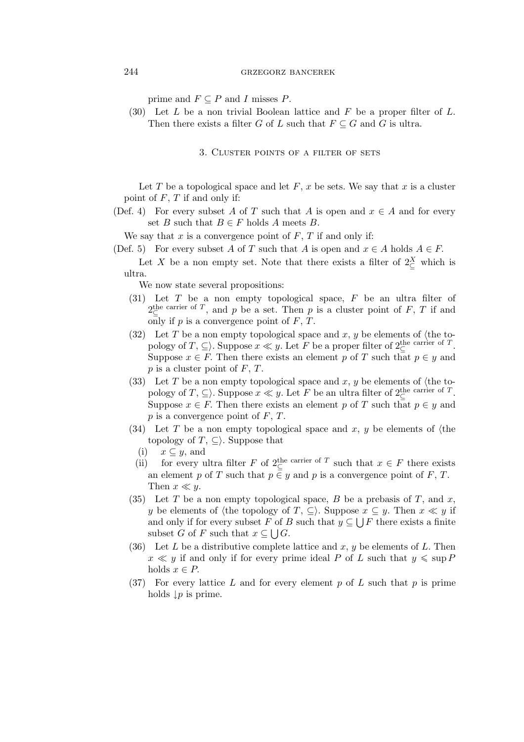prime and  $F \subseteq P$  and I misses P.

(30) Let  $L$  be a non trivial Boolean lattice and  $F$  be a proper filter of  $L$ . Then there exists a filter G of L such that  $F \subseteq G$  and G is ultra.

3. Cluster points of a filter of sets

Let T be a topological space and let  $F, x$  be sets. We say that x is a cluster point of  $F, T$  if and only if:

(Def. 4) For every subset A of T such that A is open and  $x \in A$  and for every set *B* such that  $B \in F$  holds *A* meets *B*.

We say that  $x$  is a convergence point of  $F, T$  if and only if:

- (Def. 5) For every subset A of T such that A is open and  $x \in A$  holds  $A \in F$ .
	- Let X be a non empty set. Note that there exists a filter of  $2\frac{X}{C}$  which is ultra.

We now state several propositions:

- (31) Let  $T$  be a non empty topological space,  $F$  be an ultra filter of  $2^{\text{the carrier of }T}$ , and p be a set. Then p is a cluster point of F, T if and only if  $p$  is a convergence point of  $F, T$ .
- (32) Let T be a non empty topological space and  $x, y$  be elements of  $\langle$ the topology of  $T, \subseteq$ ). Suppose  $x \ll y$ . Let F be a proper filter of  $2 \subseteq$  carrier of T. Suppose  $x \in F$ . Then there exists an element p of T such that  $p \in y$  and  $p$  is a cluster point of  $F, T$ .
- (33) Let T be a non empty topological space and x, y be elements of  $\langle$ the topology of  $T, \subseteq$ . Suppose  $x \ll y$ . Let F be an ultra filter of  $2^{\text{the carrier of}}_{\subseteq} T$ . Suppose  $x \in F$ . Then there exists an element p of T such that  $p \in y$  and  $p$  is a convergence point of  $F, T$ .
- (34) Let T be a non empty topological space and x, y be elements of  $\langle$ the topology of  $T, \subseteq$ . Suppose that
	- (i) x *⊆* y, and
	- (ii) for every ultra filter F of  $2 \in \mathbb{R}^n$  such that  $x \in F$  there exists an element p of T such that  $p \in y$  and p is a convergence point of F, T. Then  $x \ll y$ .
- (35) Let T be a non empty topological space, B be a prebasis of T, and  $x$ , y be elements of  $\langle$ the topology of *T*, *⊆* $\rangle$ . Suppose  $x \subseteq y$ . Then  $x \ll y$  if and only if for every subset F of B such that  $y \subseteq \bigcup F$  there exists a finite subset G of F such that  $x \subseteq \bigcup G$ .
- (36) Let L be a distributive complete lattice and  $x, y$  be elements of L. Then  $x \ll y$  if and only if for every prime ideal P of L such that  $y \leq \sup P$ holds  $x \in P$ .
- (37) For every lattice L and for every element p of L such that p is prime holds *↓*p is prime.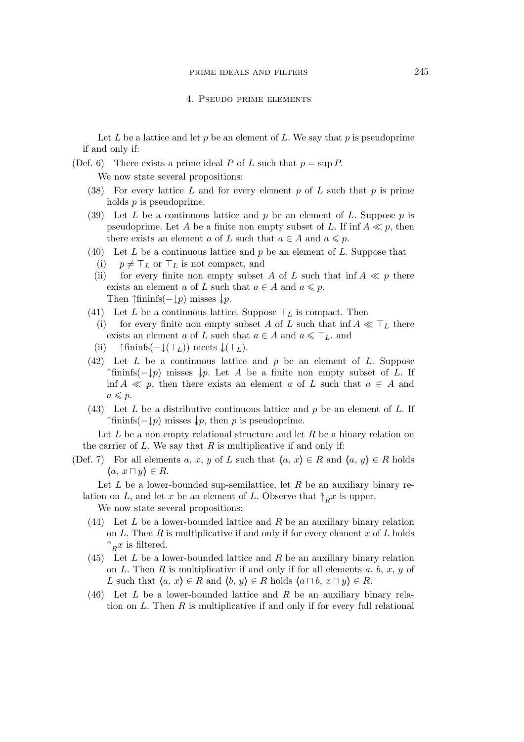Let L be a lattice and let p be an element of L. We say that p is pseudoprime if and only if:

(Def. 6) There exists a prime ideal P of L such that  $p = \sup P$ .

We now state several propositions:

- (38) For every lattice L and for every element p of L such that p is prime holds  $p$  is pseudoprime.
- (39) Let  $L$  be a continuous lattice and  $p$  be an element of  $L$ . Suppose  $p$  is pseudoprime. Let A be a finite non empty subset of L. If inf  $A \ll p$ , then there exists an element a of L such that  $a \in A$  and  $a \leq p$ .
- (40) Let L be a continuous lattice and p be an element of L. Suppose that
	- (i)  $p \neq \top_L$  or  $\top_L$  is not compact, and
	- (ii) for every finite non empty subset A of L such that inf  $A \ll p$  there exists an element a of L such that  $a \in A$  and  $a \leq p$ . Then  $\uparrow$ fininfs( $-\downarrow p$ ) misses  $\downarrow p$ .
- (41) Let L be a continuous lattice. Suppose *⊤*L is compact. Then
- (i) for every finite non empty subset A of L such that inf  $A \ll T_L$  there exists an element a of L such that  $a \in A$  and  $a \leq \top_L$ , and
- (ii) *↑*fininfs(*−↓*(*⊤*L)) meets *↓↓*(*⊤*L).
- $(42)$  Let L be a continuous lattice and p be an element of L. Suppose *↑*fininfs(*−↓*p) misses *↓↓*p. Let A be a finite non empty subset of L. If inf  $A \ll p$ , then there exists an element a of L such that  $a \in A$  and  $a \leqslant p$ .
- $(43)$  Let L be a distributive continuous lattice and p be an element of L. If  $\uparrow$ fininfs( $-\downarrow p$ ) misses  $\downarrow p$ , then p is pseudoprime.

Let  $L$  be a non empty relational structure and let  $R$  be a binary relation on the carrier of  $L$ . We say that  $R$  is multiplicative if and only if:

(Def. 7) For all elements a, x, y of L such that  $\langle a, x \rangle \in R$  and  $\langle a, y \rangle \in R$  holds *h*a, x *⊓* y*i ∈* R.

Let  $L$  be a lower-bounded sup-semilattice, let  $R$  be an auxiliary binary relation on L, and let x be an element of L. Observe that  $\uparrow_R x$  is upper.

We now state several propositions:

- (44) Let L be a lower-bounded lattice and R be an auxiliary binary relation on L. Then R is multiplicative if and only if for every element x of L holds  $\uparrow_R x$  is filtered.
- $(45)$  Let L be a lower-bounded lattice and R be an auxiliary binary relation on L. Then R is multiplicative if and only if for all elements  $a, b, x, y$  of L such that  $\langle a, x \rangle \in R$  and  $\langle b, y \rangle \in R$  holds  $\langle a \sqcap b, x \sqcap y \rangle \in R$ .
- (46) Let L be a lower-bounded lattice and R be an auxiliary binary relation on  $L$ . Then  $R$  is multiplicative if and only if for every full relational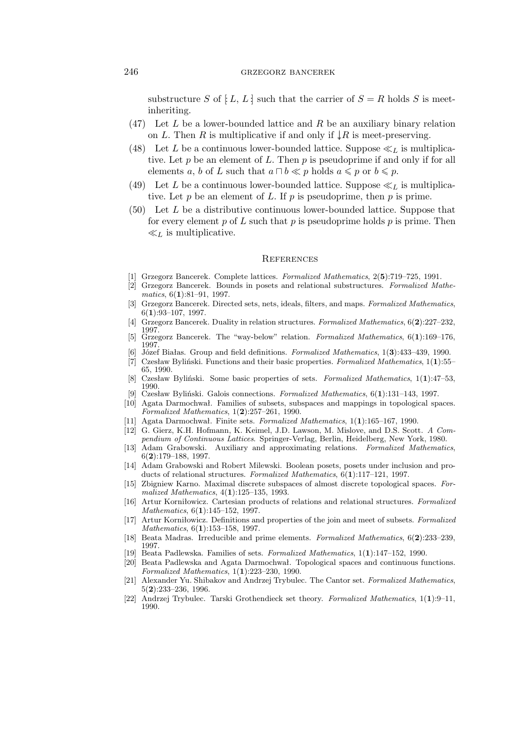#### 246 grzegorz bancerek

substructure S of  $[L, L]$  such that the carrier of  $S = R$  holds S is meetinheriting.

- $(47)$  Let L be a lower-bounded lattice and R be an auxiliary binary relation on L. Then R is multiplicative if and only if  $\downarrow R$  is meet-preserving.
- (48) Let L be a continuous lower-bounded lattice. Suppose  $\ll_L$  is multiplicative. Let  $p$  be an element of  $L$ . Then  $p$  is pseudoprime if and only if for all elements a, b of L such that  $a \sqcap b \ll p$  holds  $a \leq p$  or  $b \leq p$ .
- (49) Let L be a continuous lower-bounded lattice. Suppose  $\ll_L$  is multiplicative. Let  $p$  be an element of  $L$ . If  $p$  is pseudoprime, then  $p$  is prime.
- $(50)$  Let L be a distributive continuous lower-bounded lattice. Suppose that for every element p of L such that p is pseudoprime holds p is prime. Then *≪*L is multiplicative.

#### **REFERENCES**

- [1] Grzegorz Bancerek. Complete lattices. *Formalized Mathematics*, 2(**5**):719–725, 1991.
- [2] Grzegorz Bancerek. Bounds in posets and relational substructures. *Formalized Mathematics*, 6(**1**):81–91, 1997.
- [3] Grzegorz Bancerek. Directed sets, nets, ideals, filters, and maps. *Formalized Mathematics*, 6(**1**):93–107, 1997.
- [4] Grzegorz Bancerek. Duality in relation structures. *Formalized Mathematics*, 6(**2**):227–232, 1997.
- [5] Grzegorz Bancerek. The "way-below" relation. *Formalized Mathematics*, 6(**1**):169–176, 1997.
- [6] Józef Białas. Group and field definitions. *Formalized Mathematics*, 1(**3**):433–439, 1990.
- [7] Czesław Byliński. Functions and their basic properties. *Formalized Mathematics*, 1(**1**):55– 65, 1990.
- [8] Czesław Byliński. Some basic properties of sets. *Formalized Mathematics*, 1(**1**):47–53, 1990.
- [9] Czesław Byliński. Galois connections. *Formalized Mathematics*, 6(**1**):131–143, 1997.
- [10] Agata Darmochwał. Families of subsets, subspaces and mappings in topological spaces. *Formalized Mathematics*, 1(**2**):257–261, 1990.
- [11] Agata Darmochwał. Finite sets. *Formalized Mathematics*, 1(**1**):165–167, 1990.
- [12] G. Gierz, K.H. Hofmann, K. Keimel, J.D. Lawson, M. Mislove, and D.S. Scott. *A Compendium of Continuous Lattices*. Springer-Verlag, Berlin, Heidelberg, New York, 1980.
- [13] Adam Grabowski. Auxiliary and approximating relations. *Formalized Mathematics*, 6(**2**):179–188, 1997.
- [14] Adam Grabowski and Robert Milewski. Boolean posets, posets under inclusion and products of relational structures. *Formalized Mathematics*, 6(**1**):117–121, 1997.
- [15] Zbigniew Karno. Maximal discrete subspaces of almost discrete topological spaces. *Formalized Mathematics*, 4(**1**):125–135, 1993.
- [16] Artur Korniłowicz. Cartesian products of relations and relational structures. *Formalized Mathematics*, 6(**1**):145–152, 1997.
- [17] Artur Korniłowicz. Definitions and properties of the join and meet of subsets. *Formalized Mathematics*, 6(**1**):153–158, 1997.
- [18] Beata Madras. Irreducible and prime elements. *Formalized Mathematics*, 6(**2**):233–239, 1997.
- [19] Beata Padlewska. Families of sets. *Formalized Mathematics*, 1(**1**):147–152, 1990.
- [20] Beata Padlewska and Agata Darmochwał. Topological spaces and continuous functions. *Formalized Mathematics*, 1(**1**):223–230, 1990.
- [21] Alexander Yu. Shibakov and Andrzej Trybulec. The Cantor set. *Formalized Mathematics*, 5(**2**):233–236, 1996.
- [22] Andrzej Trybulec. Tarski Grothendieck set theory. *Formalized Mathematics*, 1(**1**):9–11, 1990.